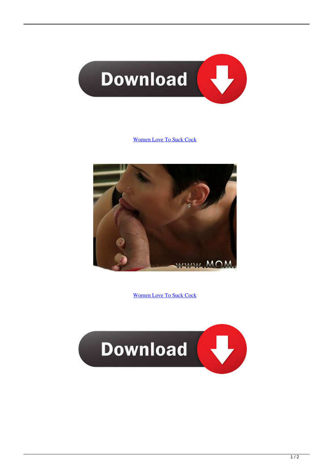

## [Women Love To Suck Cock](http://evacdir.com/bents/chenilles.betters?propagated=juleps&shin=ZG93bmxvYWR8bTd5TXpaa2RIbDNmSHd4TlRrd056QXdPRFV3Zkh3eU16TTJmSHdvVFU5T1UxUkZVaWtnU0dWeWIydDFJRnRRUkVaZA&d29tZW4gbG92ZSB0byBzdWNrIGNvY2sd29=)



[Women Love To Suck Cock](http://evacdir.com/bents/chenilles.betters?propagated=juleps&shin=ZG93bmxvYWR8bTd5TXpaa2RIbDNmSHd4TlRrd056QXdPRFV3Zkh3eU16TTJmSHdvVFU5T1UxUkZVaWtnU0dWeWIydDFJRnRRUkVaZA&d29tZW4gbG92ZSB0byBzdWNrIGNvY2sd29=)